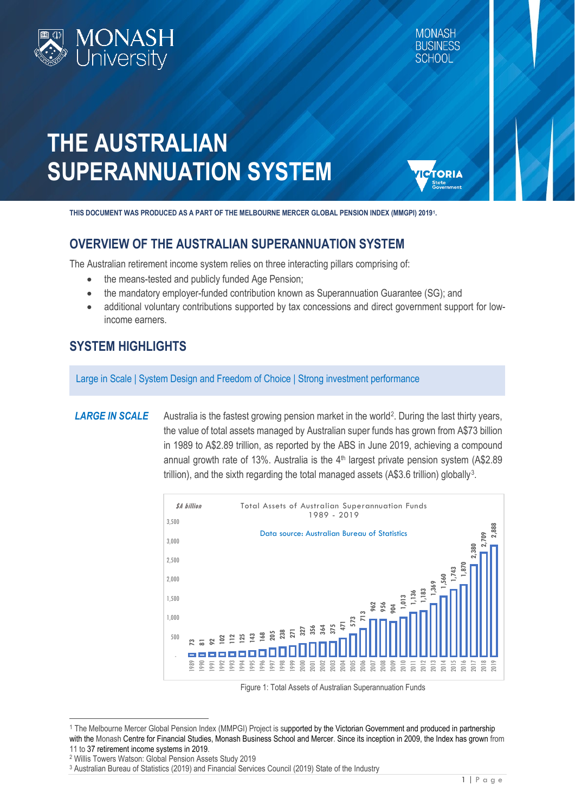

TORIA

# **THE AUSTRALIAN SUPERANNUATION SYSTEM**

**THIS DOCUMENT WAS PRODUCED AS A PART OF THE MELBOURNE MERCER GLOBAL PENSION INDEX (MMGPI) 201[91.](#page-0-0)**

# **OVERVIEW OF THE AUSTRALIAN SUPERANNUATION SYSTEM**

The Australian retirement income system relies on three interacting pillars comprising of:

- the means-tested and publicly funded Age Pension;
- the mandatory employer-funded contribution known as Superannuation Guarantee (SG); and
- additional voluntary contributions supported by tax concessions and direct government support for lowincome earners.

# **SYSTEM HIGHLIGHTS**

Large in Scale | System Design and Freedom of Choice | Strong investment performance

**LARGE IN SCALE** Australia is the fastest growing pension market in the world<sup>[2](#page-0-1)</sup>. During the last thirty years, the value of total assets managed by Australian super funds has grown from A\$73 billion in 1989 to A\$2.89 trillion, as reported by the ABS in June 2019, achieving a compound annual growth rate of 13%. Australia is the  $4<sup>th</sup>$  largest private pension system (A\$2.89) trillion), and the sixth regarding the total managed assets (A\$[3](#page-0-2).6 trillion) globally<sup>3</sup>.



Figure 1: Total Assets of Australian Superannuation Funds

1

<span id="page-0-0"></span><sup>1</sup> The Melbourne Mercer Global Pension Index (MMPGI) Project is supported by the Victorian Government and produced in partnership with the Monash Centre for Financial Studies, Monash Business School and Mercer. Since its inception in 2009, the Index has grown from 11 to 37 retirement income systems in 2019.<br><sup>2</sup> Willis Towers Watson: Global Pension Assets Study 2019<br><sup>3</sup> Australian Bureau of Statistics (2019) and Financial Services Council (2019) State of the Industry

<span id="page-0-2"></span><span id="page-0-1"></span>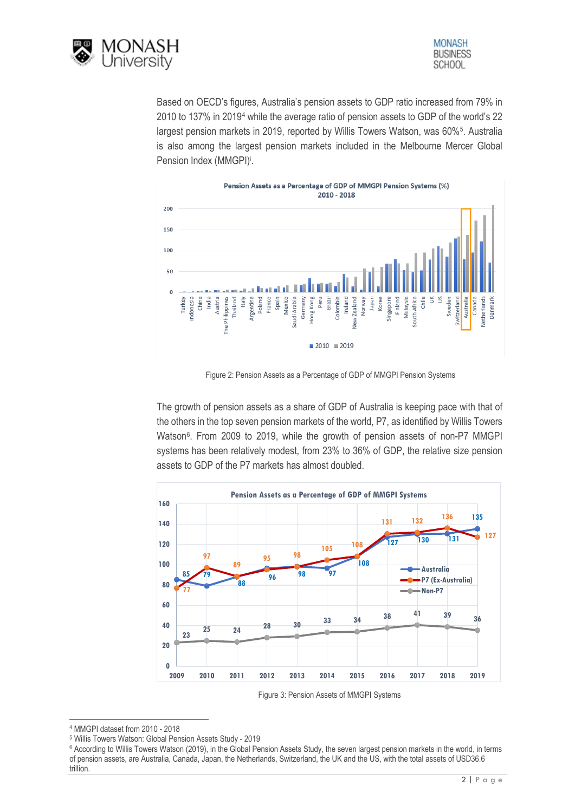



Based on OECD's figures, Australia's pension assets to GDP ratio increased from 79% in 2010 to 137% in 2019[4](#page-1-0) while the average ratio of pension assets to GDP of the world's 22 largest pension markets in 2019, reported by Willis Towers Watson, was 60%<sup>5</sup>. Australia is also among the largest pension markets included in the Melbourne Mercer Global Pension Index (MMGPI)<sup>i</sup>.



Figure 2: Pension Assets as a Percentage of GDP of MMGPI Pension Systems

The growth of pension assets as a share of GDP of Australia is keeping pace with that of the others in the top seven pension markets of the world, P7, as identified by Willis Towers Watson<sup>6</sup>. From 2009 to 2019, while the growth of pension assets of non-P7 MMGPI systems has been relatively modest, from 23% to 36% of GDP, the relative size pension assets to GDP of the P7 markets has almost doubled.



Figure 3: Pension Assets of MMGPI Systems

<span id="page-1-0"></span>MMGPI dataset from 2010 - 2018

<span id="page-1-1"></span>Willis Towers Watson: Global Pension Assets Study - 2019

<span id="page-1-2"></span><sup>&</sup>lt;sup>6</sup> According to Willis Towers Watson (2019), in the Global Pension Assets Study, the seven largest pension markets in the world, in terms of pension assets, are Australia, Canada, Japan, the Netherlands, Switzerland, the UK and the US, with the total assets of USD36.6 trillion.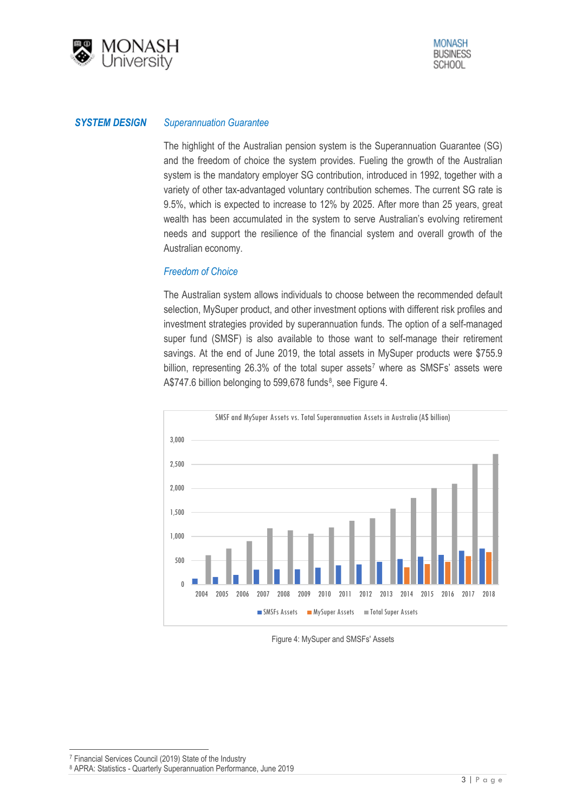

#### *SYSTEM DESIGN Superannuation Guarantee*

The highlight of the Australian pension system is the Superannuation Guarantee (SG) and the freedom of choice the system provides. Fueling the growth of the Australian system is the mandatory employer SG contribution, introduced in 1992, together with a variety of other tax-advantaged voluntary contribution schemes. The current SG rate is 9.5%, which is expected to increase to 12% by 2025. After more than 25 years, great wealth has been accumulated in the system to serve Australian's evolving retirement needs and support the resilience of the financial system and overall growth of the Australian economy.

### *Freedom of Choice*

The Australian system allows individuals to choose between the recommended default selection, MySuper product, and other investment options with different risk profiles and investment strategies provided by superannuation funds. The option of a self-managed super fund (SMSF) is also available to those want to self-manage their retirement savings. At the end of June 2019, the total assets in MySuper products were \$755.9 billion, representing  $26.3\%$  of the total super assets<sup>7</sup> where as SMSFs' assets were A\$747.6 billion belonging to 599,678 funds<sup>8</sup>, see Figure 4.



Figure 4: MySuper and SMSFs' Assets

1

<span id="page-2-1"></span><span id="page-2-0"></span><sup>7</sup> Financial Services Council (2019) State of the Industry

<sup>8</sup> APRA: Statistics - Quarterly Superannuation Performance, June 2019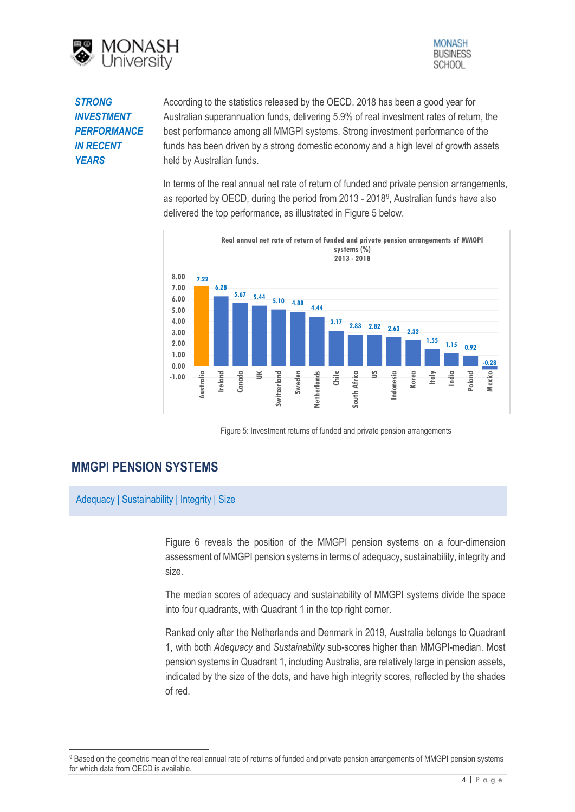



## *STRONG INVESTMENT PERFORMANCE IN RECENT YEARS*

According to the statistics released by the OECD, 2018 has been a good year for Australian superannuation funds, delivering 5.9% of real investment rates of return, the best performance among all MMGPI systems. Strong investment performance of the funds has been driven by a strong domestic economy and a high level of growth assets held by Australian funds.

In terms of the real annual net rate of return of funded and private pension arrangements, as reported by OECD, during the period from 2013 - 2018[9](#page-3-0), Australian funds have also delivered the top performance, as illustrated in Figure 5 below.



Figure 5: Investment returns of funded and private pension arrangements

# **MMGPI PENSION SYSTEMS**

1

Adequacy | Sustainability | Integrity | Size

Figure 6 reveals the position of the MMGPI pension systems on a four-dimension assessment of MMGPI pension systems in terms of adequacy, sustainability, integrity and size.

The median scores of adequacy and sustainability of MMGPI systems divide the space into four quadrants, with Quadrant 1 in the top right corner.

Ranked only after the Netherlands and Denmark in 2019, Australia belongs to Quadrant 1, with both *Adequacy* and *Sustainability* sub-scores higher than MMGPI-median. Most pension systems in Quadrant 1, including Australia, are relatively large in pension assets, indicated by the size of the dots, and have high integrity scores, reflected by the shades of red.

<span id="page-3-0"></span><sup>9</sup> Based on the geometric mean of the real annual rate of returns of funded and private pension arrangements of MMGPI pension systems for which data from OECD is available.